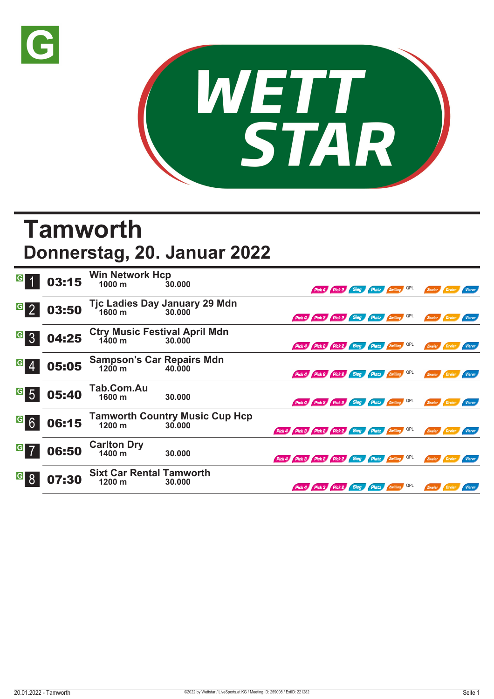



## **Tamworth**

## **Donnerstag, 20. Januar 2022**

|                                    | 03:15 | <b>Win Network Hcp</b><br>1000 m                     | 30.000                                            |                                                     |                                              | Pick 4 Pick 2 | Sieg | Platz Zwilling QPL |     | Zweier |               | Vierer        |
|------------------------------------|-------|------------------------------------------------------|---------------------------------------------------|-----------------------------------------------------|----------------------------------------------|---------------|------|--------------------|-----|--------|---------------|---------------|
| $\overline{G}$                     | 03:50 |                                                      | Tjc Ladies Day January 29 Mdn<br>1600 m<br>30.000 |                                                     | Pick 4 Pick 2 Pick 2 Sieg Platz Zwilling QPL |               |      |                    |     | Zweier | <b>Dreier</b> | Vierer        |
| G <br>$\overline{3}$               | 04:25 | Ctry Music Festival April Mdn<br>1400 m 30.000       |                                                   |                                                     | Pick 4 Pick 2 Pick 2 Sieg Platz Zwilling QPL |               |      |                    |     | Zweier | Dreier        | Vierer        |
| G                                  | 05:05 | <b>Sampson's Car Repairs Mdn</b><br>$1200 \text{ m}$ | 40.000                                            |                                                     | Pick 4 Pick 2 Pick 2 Sieg Platz 2 Willing    |               |      |                    | QPL | Zweier | Dreier        | <b>Vierer</b> |
| $\vert G \vert$<br>$5\overline{5}$ | 05:40 | Tab.Com.Au<br>1600 m                                 | 30.000                                            |                                                     | Pick 4 Pick 2 Pick 2 Sieg Platz Zwilling QPL |               |      |                    |     | Zweier | Dreier        | Vierer        |
| <sup>G</sup> 6                     | 06:15 | $1200 \text{ m}$                                     | <b>Tamworth Country Music Cup Hcp</b><br>30,000   | Pick 4 Pick 3 Pick 2 Pick 2 Sieg Platz Zwilling QPL |                                              |               |      |                    |     | Zweier |               | Vierer        |
| G                                  | 06:50 | <b>Carlton Dry</b><br>1400 m                         | 30.000                                            | Pick 4 Pick 3 Pick 2 Pick 2 Sieg Platz Zwilling QPL |                                              |               |      |                    |     | Zweier | Dreier        | <b>Vierer</b> |
| $\vert G \vert$                    | 07:30 | <b>Sixt Car Rental Tamworth</b><br>1200 m            | 30.000                                            |                                                     | Pick 4 Pick 3 Pick 2 Sieg Platz Zwilling     |               |      |                    | QPL | Zweier |               | <b>Vierer</b> |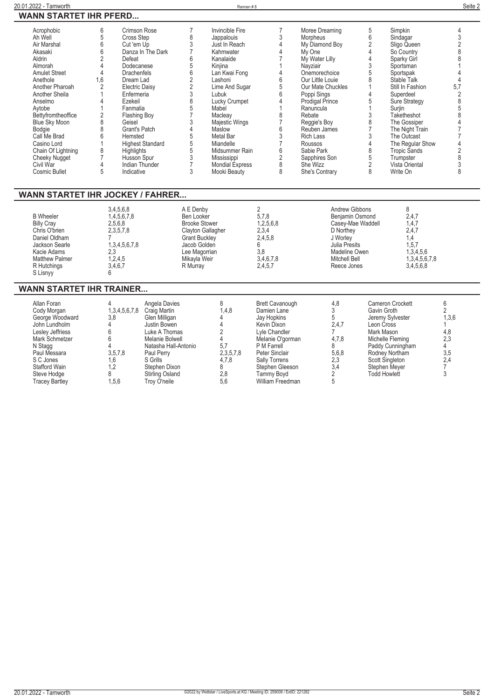| Acrophobic                       | 6              | Crimson Rose            |                      | Invincible Fire          |                 | Moree Dreaming         | 5              | Simpkin              |                |
|----------------------------------|----------------|-------------------------|----------------------|--------------------------|-----------------|------------------------|----------------|----------------------|----------------|
| Ah Well                          | 5              | Cross Step              | 8                    | Jappalouis               | 3               | Morpheus               | 6              | Sindagar             | 3              |
| Air Marshal                      | 6              | Cut 'em Up              | 3                    | Just In Reach            | $\overline{4}$  | My Diamond Boy         | $\overline{2}$ | Sligo Queen          | $\overline{2}$ |
| Akasaki                          | 6              | Danza In The Dark       |                      | Kahmwater                |                 | My One                 | $\overline{4}$ | So Country           | 8              |
| Aldrin                           | $\overline{2}$ | Defeat                  | 6                    | Kanalaide                |                 | My Water Lilly         | $\overline{4}$ | Sparky Girl          |                |
| Almorah                          | $\overline{4}$ | Dodecanese              | 5                    | Kinjina                  |                 | Nayziair               | 3              | Sportsman            |                |
| <b>Amulet Street</b>             | 4              | Drachenfels             | $6\phantom{1}$       | Lan Kwai Fong            | 4               | Onemorechoice          | 5              | Sportspak            |                |
| Anethole                         | 1,6            | Dream Lad               | $\frac{2}{2}$        | Lashoni                  | 6               | Our Little Louie       | 8              | Stable Talk          | $\Delta$       |
| Another Pharoah                  | $\overline{2}$ | <b>Electric Daisy</b>   |                      | Lime And Sugar           | 5               | Our Mate Chuckles      |                | Still In Fashion     | 5.7            |
| Another Sheila                   |                | Enfermeria              | 3                    | Lubuk                    | $6\overline{6}$ | Poppi Sings            | $\overline{4}$ | Superdeel            | 2              |
| Anselmo                          |                | Ezekeil                 | 8                    | Lucky Crumpet            | $\Lambda$       | <b>Prodigal Prince</b> | 5              | <b>Sure Strategy</b> | 8              |
| Avtobe                           |                | Fanmalia                | 5                    | Mabel                    |                 | Ranuncula              |                | Surjin               | 5              |
| Bettyfromtheoffice               |                | Flashing Boy            |                      | Macleav                  | 8               | Rebate                 | 3              | Taketheshot          | $\mathsf{R}$   |
| <b>Blue Sky Moon</b>             | 8              | Geisel                  | 3                    | Majestic Wings           |                 | Reggie's Boy           | 8              | The Gossiper         |                |
| Bodgie                           | 8              | Grant's Patch           | $\overline{4}$       | Maslow                   | 6               | Reuben James           | $\overline{7}$ | The Night Train      |                |
| Call Me Brad                     | ĥ              | Hemsted                 | 5                    | Metal Bar                | 3               | <b>Rich Lass</b>       | 3              | The Outcast          |                |
| Casino Lord                      |                | <b>Highest Standard</b> | 5                    | Miandelle                | $\overline{7}$  | Roussos                | $\overline{4}$ | The Regular Show     |                |
| Chain Of Lightning               | 8              | Highlights              | 5                    | Midsummer Rain           | 6               | Sabie Park             | 8              | <b>Tropic Sands</b>  | $\overline{2}$ |
| <b>Cheeky Nugget</b>             |                | Husson Spur             | 3                    | Mississippi              | $\overline{2}$  | Sapphires Son          | 5              | Trumpster            | 8              |
| Civil War                        |                | <b>Indian Thunder</b>   |                      | <b>Mondial Express</b>   | 8               | She Wizz               | $\overline{2}$ | Vista Oriental       | 3              |
| Cosmic Bullet                    | 5              | Indicative              | 3                    | Mooki Beauty             | 8               | She's Contrary         | 8              | Write On             | 8              |
|                                  |                |                         |                      |                          |                 |                        |                |                      |                |
|                                  |                |                         |                      |                          |                 |                        |                |                      |                |
| WANN STARTET IHR JOCKEY / FAHRER |                |                         |                      |                          |                 |                        |                |                      |                |
|                                  |                | 3,4,5,6,8               | A E Denby            |                          | $\overline{2}$  | Andrew Gibbons         |                | 8                    |                |
| <b>B</b> Wheeler                 |                | 1,4,5,6,7,8             | Ben Looker           |                          | 5,7,8           | Benjamin Osmond        |                | 2,4,7                |                |
| <b>Billy Cray</b>                |                | 2,5,6,8                 | <b>Brooke Stower</b> |                          | 1,2,5,6,8       | Casey-Mae Waddell      |                | 1,4,7                |                |
| Chris O'brien                    |                | 2,3,5,7,8               |                      | <b>Clayton Gallagher</b> | 2,3,4           | D Northey              |                | 2,4,7                |                |
| Daniel Oldham                    |                |                         | <b>Grant Buckley</b> |                          | 2,4,5,8         | J Worley               |                | 1.4                  |                |
| Jackson Searle                   |                | 1,3,4,5,6,7,8           | Jacob Golden         |                          | 6               | Julia Presits          |                | 1, 5, 7              |                |
| Kacie Adams                      | 2,3            |                         | Lee Magorrian        |                          | 3,8             | Madeline Owen          |                | 1,3,4,5,6            |                |
| <b>Matthew Palmer</b>            |                | 1,2,4,5                 | Mikayla Weir         |                          | 3,4,6,7,8       | Mitchell Bell          |                | 1,3,4,5,6,7,8        |                |
| R Hutchings                      |                | 3,4,6,7                 | R Murray             |                          | 2,4,5,7         | Reece Jones            |                | 3.4,5,6,8            |                |
| S Lisnyy                         | հ              |                         |                      |                          |                 |                        |                |                      |                |
|                                  |                |                         |                      |                          |                 |                        |                |                      |                |

## **WANN STARTET IHR TRAINER...**

| Allan Foran<br>Cody Morgan<br>George Woodward<br>John Lundholm<br>Lesley Jeffriess<br>Mark Schmetzer<br>N Stagg<br>Paul Messara<br>S C Jones<br>Stafford Wain<br>Steve Hodge<br><b>Tracey Bartley</b> | 1,3,4,5,6,7,8<br>3,8<br>3,5,7,8<br>1.6<br>1.2<br>1.5.6 | Angela Davies<br>Craig Martin<br>Glen Milligan<br>Justin Bowen<br>Luke A Thomas<br>Melanie Bolwell<br>Natasha Hall-Antonio<br>Paul Perry<br>S Grills<br>Stephen Dixon<br>Stirling Osland<br>Trov O'neile | 1.4.8<br>5.7<br>2,3,5,7,8<br>4,7,8<br>2.8<br>5.6 | <b>Brett Cavanough</b><br>Damien Lane<br>Jay Hopkins<br>Kevin Dixon<br>Lyle Chandler<br>Melanie O'gorman<br>P M Farrell<br>Peter Sinclair<br><b>Sally Torrens</b><br>Stephen Gleeson<br>Tammv Bovd<br>William Freedman | 4,8<br>2,4,7<br>4,7,8<br>5,6,8<br>2,3<br>3,4 | Cameron Crockett<br>Gavin Groth<br>Jeremy Sylvester<br>Leon Cross<br>Mark Mason<br>Michelle Fleming<br>Paddy Cunningham<br>Rodney Northam<br><b>Scott Singleton</b><br>Stephen Meyer<br><b>Todd Howlett</b> | 1,3,6<br>4,8<br>2,3<br>3,5<br>2.4 |  |
|-------------------------------------------------------------------------------------------------------------------------------------------------------------------------------------------------------|--------------------------------------------------------|----------------------------------------------------------------------------------------------------------------------------------------------------------------------------------------------------------|--------------------------------------------------|------------------------------------------------------------------------------------------------------------------------------------------------------------------------------------------------------------------------|----------------------------------------------|-------------------------------------------------------------------------------------------------------------------------------------------------------------------------------------------------------------|-----------------------------------|--|
|-------------------------------------------------------------------------------------------------------------------------------------------------------------------------------------------------------|--------------------------------------------------------|----------------------------------------------------------------------------------------------------------------------------------------------------------------------------------------------------------|--------------------------------------------------|------------------------------------------------------------------------------------------------------------------------------------------------------------------------------------------------------------------------|----------------------------------------------|-------------------------------------------------------------------------------------------------------------------------------------------------------------------------------------------------------------|-----------------------------------|--|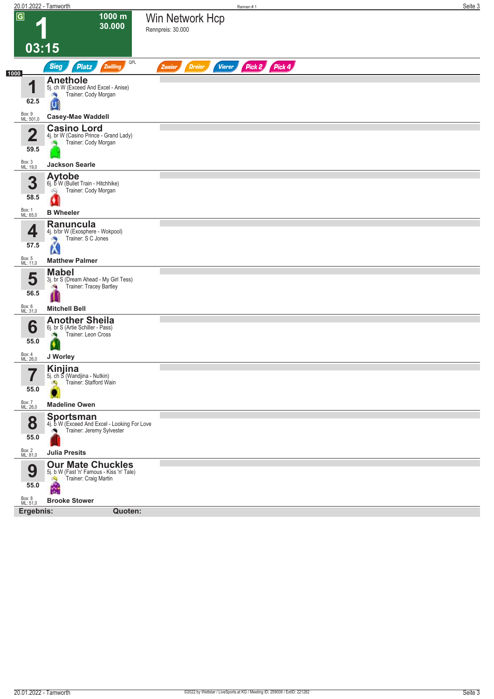|                     | 20.01.2022 - Tamworth                                                                                    | Rennen#1                                                  | Seite 3 |
|---------------------|----------------------------------------------------------------------------------------------------------|-----------------------------------------------------------|---------|
| $\overline{G}$      | 1000 m<br>30.000                                                                                         | Win Network Hcp<br>Rennpreis: 30.000                      |         |
|                     | 03:15                                                                                                    |                                                           |         |
| 1000                | QPL<br><b>Sieg</b><br><b>Platz</b><br>Zwilling                                                           | Pick 2 Pick 4<br><b>Vierer</b><br><b>Dreier</b><br>Zweier |         |
| и<br>62.5           | <b>Anethole</b><br>5j. ch W (Exceed And Excel - Anise)<br>Trainer: Cody Morgan<br>ิบเ                    |                                                           |         |
| Box: 9<br>ML: 501,0 | <b>Casey-Mae Waddell</b>                                                                                 |                                                           |         |
| 4<br>◢<br>59.5      | <b>Casino Lord</b><br>4j. br W (Casino Prince - Grand Lady)<br>Trainer: Cody Morgan                      |                                                           |         |
| Box: 3<br>ML: 19,0  | <b>Jackson Searle</b>                                                                                    |                                                           |         |
| 3<br>58.5           | <b>Aytobe</b><br>6j. b W (Bullet Train - Hitchhike)<br>Trainer: Cody Morgan<br>Q                         |                                                           |         |
| Box: 1<br>ML: 65,0  | <b>B</b> Wheeler                                                                                         |                                                           |         |
| 4<br>57.5           | <b>Ranuncula</b><br>4j. b/br W (Exosphere - Wokpool)<br>Trainer: S C Jones<br>×,<br>K                    |                                                           |         |
| Box: 5<br>ML: 11,0  | <b>Matthew Palmer</b>                                                                                    |                                                           |         |
| 5<br>56.5           | <b>Mabel</b><br>3j. br S (Dream Ahead - My Girl Tess)<br>Trainer: Tracey Bartley<br>阀                    |                                                           |         |
| Box: 6<br>ML: 31,0  | <b>Mitchell Bell</b>                                                                                     |                                                           |         |
| 6<br>55.0           | <b>Another Sheila</b><br>6j. br S (Artie Schiller - Pass)<br>Trainer: Leon Cross<br>N.                   |                                                           |         |
| Box: 4<br>ML: 26,0  | J Worley                                                                                                 |                                                           |         |
| 7<br>I<br>55.0      | Kinjina<br>5j. ch S (Wandjina - Nutkin)<br>Trainer: Stafford Wain<br>۵Q                                  |                                                           |         |
| Box: 7<br>ML: 26,0  | <b>Madeline Owen</b>                                                                                     |                                                           |         |
| 8<br>55.0           | Sportsman<br>4j. b W (Exceed And Excel - Looking For Love<br>Trainer: Jeremy Sylvester                   |                                                           |         |
| Box: 2<br>ML: 81,0  | <b>Julia Presits</b>                                                                                     |                                                           |         |
| 9<br>55.0           | <b>Our Mate Chuckles</b><br>5j. b W (Fast 'n' Famous - Kiss 'n' Tale)<br>Trainer: Craig Martin<br>Â<br>쯺 |                                                           |         |
| Box: 8<br>ML: 51,0  | <b>Brooke Stower</b>                                                                                     |                                                           |         |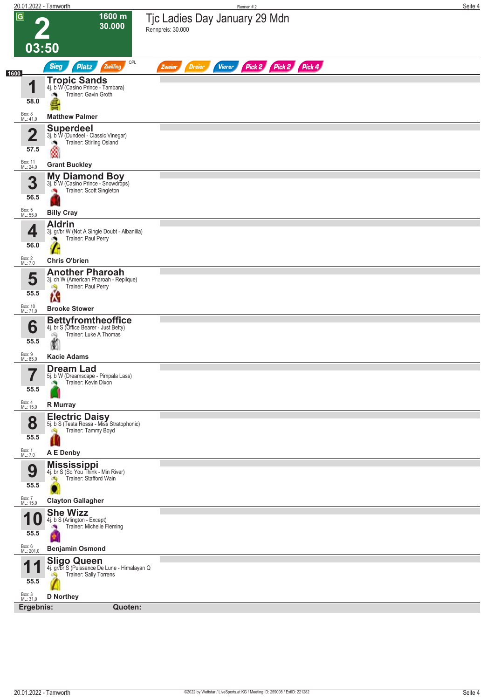| 20.01.2022 - Tamworth           |                                                                                                                           |                         |               | Rennen #2                     |  | Seite 4 |
|---------------------------------|---------------------------------------------------------------------------------------------------------------------------|-------------------------|---------------|-------------------------------|--|---------|
| $\overline{G}$<br>03:50         | 1600 m<br>30.000                                                                                                          | Rennpreis: 30.000       |               | Tjc Ladies Day January 29 Mdn |  |         |
|                                 | QPL<br><b>Sieg</b><br>Zwilling<br><b>Platz</b>                                                                            | <b>Dreier</b><br>Zweier | <b>Vierer</b> | Pick 2 Pick 2 Pick 4          |  |         |
| 1600<br>4<br>58.0               | <b>Tropic Sands</b><br>4j. b W (Casino Prince - Tambara)<br>Trainer: Gavin Groth                                          |                         |               |                               |  |         |
| Box: 8<br>ML: 41,0              | <b>Matthew Palmer</b>                                                                                                     |                         |               |                               |  |         |
| $\overline{\mathbf{2}}$<br>57.5 | <b>Superdeel</b><br>3j. b W (Dundeel - Classic Vinegar)<br>Trainer: Stirling Osland<br>ு<br>۵                             |                         |               |                               |  |         |
| Box: 11<br>ML: 24,0             | <b>Grant Buckley</b>                                                                                                      |                         |               |                               |  |         |
| 3<br>56.5                       | <b>My Diamond Boy</b><br>3j. b <sup>o</sup> W (Casino Prince - Snowdrops)<br>Trainer: Scott Singleton                     |                         |               |                               |  |         |
| Box: 5<br>ML: 55,0              | <b>Billy Cray</b>                                                                                                         |                         |               |                               |  |         |
| 4<br>56.0                       | <b>Aldrin</b><br>3j. gr/br W (Not A Single Doubt - Albanilla)<br>Trainer: Paul Perry                                      |                         |               |                               |  |         |
| Box: 2                          | <b>Chris O'brien</b>                                                                                                      |                         |               |                               |  |         |
| ML: 7,0<br>5<br>55.5            | <b>Another Pharoah</b><br>3j. ch W (American Pharoah - Replique)<br>Trainer: Paul Perry<br>ô,<br>M                        |                         |               |                               |  |         |
| Box: 10<br>ML: 71,0             | <b>Brooke Stower</b>                                                                                                      |                         |               |                               |  |         |
| 6<br>55.5<br>Box: 9             | <b>Bettyfromtheoffice</b><br>4j. br S (Office Bearer - Just Betty)<br>Trainer: Luke A Thomas<br>óQ.<br><b>Kacie Adams</b> |                         |               |                               |  |         |
| ML: 85,0                        | <b>Dream Lad</b>                                                                                                          |                         |               |                               |  |         |
| 7<br>55.5                       | 5j. b W (Dreamscape - Pimpala Lass)<br>Trainer: Kevin Dixon                                                               |                         |               |                               |  |         |
| Box: 4<br>ML: 15,0              | R Murray                                                                                                                  |                         |               |                               |  |         |
| 8<br>55.5<br>Box: 1<br>ML: 7,0  | <b>Electric Daisy</b><br>5j. b S (Testa Rossa - Miss Stratophonic)<br>Trainer: Tammy Boyd<br>dia.<br>A E Denby            |                         |               |                               |  |         |
|                                 |                                                                                                                           |                         |               |                               |  |         |
| 9<br>55.5                       | <b>Mississippi</b><br>4j. br S (So You Think - Min River)<br>Trainer: Stafford Wain<br>A                                  |                         |               |                               |  |         |
| Box: 7<br>ML: 15,0              | <b>Clayton Gallagher</b>                                                                                                  |                         |               |                               |  |         |
| 55.5                            | <b>She Wizz</b><br>4j. b S (Arlington - Except)<br>Trainer: Michelle Fleming                                              |                         |               |                               |  |         |
| Box: 6<br>ML: 201,0             | <b>Benjamin Osmond</b>                                                                                                    |                         |               |                               |  |         |
| 4<br>55.5                       | <b>Sligo Queen</b><br>4j. gr/br S (Puissance De Lune - Himalayan Q<br><b>Trainer: Sally Torrens</b>                       |                         |               |                               |  |         |
| Box: 3<br>ML: 31,0<br>Ergebnis: | <b>D</b> Northey<br>Quoten:                                                                                               |                         |               |                               |  |         |
|                                 |                                                                                                                           |                         |               |                               |  |         |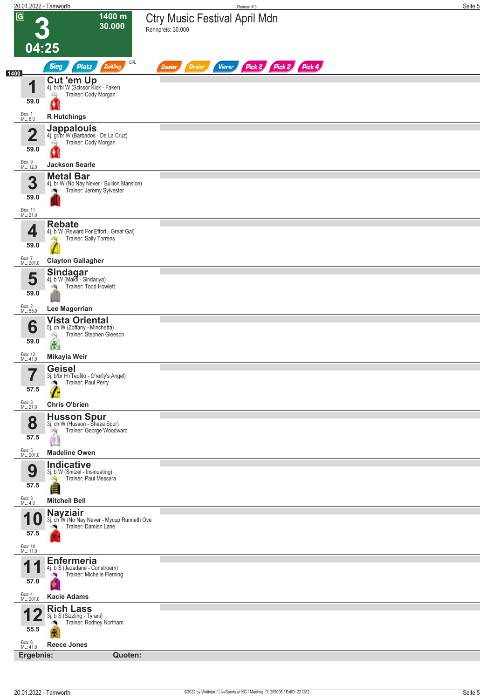|                                 | 20.01.2022 - Tamworth                                                                      | Rennen #3                                                 | Seite 5 |
|---------------------------------|--------------------------------------------------------------------------------------------|-----------------------------------------------------------|---------|
| $\overline{G}$                  | 1400 m<br>30.000                                                                           | <b>Ctry Music Festival April Mdn</b><br>Rennpreis: 30.000 |         |
| 04:25                           |                                                                                            |                                                           |         |
|                                 | QPL<br><b>Sieg</b><br>Platz<br>Zwilling                                                    | Pick 2 Pick 2 Pick 4<br><b>Dreier</b><br>Vierer<br>Zweier |         |
| 4<br>ш                          | <b>Cut 'em Up</b><br>4j. br/bl W (Scissor Kick - Faker)<br>Trainer: Cody Morgan<br>Q       |                                                           |         |
| 59.0                            |                                                                                            |                                                           |         |
| Box: 1<br>ML: 8,0               | <b>R</b> Hutchings<br><b>Jappalouis</b><br>4j. gr/br W (Barbados - De La Cruz)             |                                                           |         |
| $\overline{\mathbf{2}}$<br>59.0 | Trainer: Cody Morgan<br>49                                                                 |                                                           |         |
| Box: 9<br>ML: 12,0              | <b>Jackson Searle</b>                                                                      |                                                           |         |
| 3                               | <b>Metal Bar</b><br>4j. br W (No Nay Never - Bullion Mansion)                              |                                                           |         |
| 59.0                            | Trainer: Jeremy Sylvester                                                                  |                                                           |         |
| Box: 11<br>ML: 21,0             | <b>Rebate</b>                                                                              |                                                           |         |
| 4                               | 4j. b W (Reward For Effort - Great Gal)<br>Trainer: Sally Torrens<br>Ø.                    |                                                           |         |
| 59.0<br>Box: 7<br>ML: 201,0     | <b>Clayton Gallagher</b>                                                                   |                                                           |         |
| 5                               | Sindagar<br>4j. b W (Makfi - Sindariya)                                                    |                                                           |         |
| 59.0                            | Trainer: Todd Howlett<br>淘                                                                 |                                                           |         |
| Box: 2<br>ML: 55,0              | Lee Magorrian                                                                              |                                                           |         |
| 6                               | <b>Vista Oriental</b><br>5j. ch W (Zoffany - Minchetta)<br>Trainer: Stephen Gleeson<br>್ಸಿ |                                                           |         |
| 59.0<br>Box: 12<br>ML: 41,0     | 品<br>Mikayla Weir                                                                          |                                                           |         |
| $\overline{\phantom{a}}$        | <b>Geisel</b><br>3j. b/br H (Teofilo - O'reilly's Angel)                                   |                                                           |         |
| 57.5                            | Trainer: Paul Perry                                                                        |                                                           |         |
| Box: 8<br>ML: 27,0              | <b>Chris O'brien</b>                                                                       |                                                           |         |
| 8                               | <b>Husson Spur</b><br>3j. ch W (Husson - Sheza Spur)<br>Trainer: George Woodward<br>đ.     |                                                           |         |
| 57.5                            | <b>OB</b>                                                                                  |                                                           |         |
| Box: 5<br>ML: 201,0             | <b>Madeline Owen</b><br>Indicative                                                         |                                                           |         |
| 9<br>57.5                       | 3j. b W (Snitzel - Insinuating)<br>Trainer: Paul Messara                                   |                                                           |         |
| Box: 3<br>ML: 4,0               | <b>Mitchell Bell</b>                                                                       |                                                           |         |
| U                               | <b>Nayziair</b><br>3j. ch W (No Nay Never - Mycup Runneth Ove<br>Trainer: Damien Lane      |                                                           |         |
| 57.5                            |                                                                                            |                                                           |         |
| Box: 10<br>ML: 11,0             | <b>Enfermeria</b>                                                                          |                                                           |         |
| 57.0                            | 4j. b S (Jezadane - Constroem)<br>Trainer: Michelle Fleming                                |                                                           |         |
| Box: 4<br>ML: 201,0             | <b>Kacie Adams</b>                                                                         |                                                           |         |
|                                 | <b>Rich Lass</b><br>3j. b S (Sizzling - Tyrani)                                            |                                                           |         |
| 55.5                            | Trainer: Rodney Northam                                                                    |                                                           |         |
| Box: 6<br>ML: 41,0              | <b>Reece Jones</b><br>Ergebnis:<br>Quoten:                                                 |                                                           |         |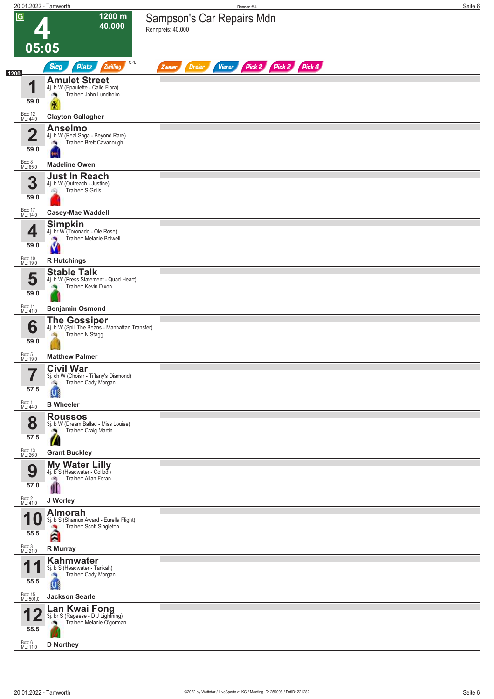| 20.01.2022 - Tamworth            |                                                                                                               | Rennen #4                                                        | Seite 6 |
|----------------------------------|---------------------------------------------------------------------------------------------------------------|------------------------------------------------------------------|---------|
| $\overline{G}$                   | $1200 \text{ m}$<br>40.000                                                                                    | Sampson's Car Repairs Mdn<br>Rennpreis: 40.000                   |         |
| 05:05                            |                                                                                                               |                                                                  |         |
| 1200                             | QPL<br><b>Sieg</b><br>Zwilling<br><b>Platz</b>                                                                | Pick 2 Pick 2 Pick 4<br><b>Vierer</b><br><b>Dreier</b><br>Zweier |         |
| $\blacksquare$<br>59.0           | <b>Amulet Street</b><br>4j. b W (Epaulette - Calle Flora)<br>Trainer: John Lundholm<br>×<br>Ķ                 |                                                                  |         |
| Box: 12<br>ML: 44,0              | <b>Clayton Gallagher</b>                                                                                      |                                                                  |         |
| $\overline{\mathbf{2}}$<br>59.0  | <b>Anselmo</b><br>4j. b W (Real Saga - Beyond Rare)<br>Trainer: Brett Cavanough<br>o e                        |                                                                  |         |
| Box: 8<br>ML: 65,0               | <b>Madeline Owen</b>                                                                                          |                                                                  |         |
| 3<br>59.0                        | <b>Just In Reach</b><br>4j. b W (Outreach - Justine)<br>Trainer: S Grills<br>Q                                |                                                                  |         |
| Box: 17<br>ML: 14,0              | <b>Casey-Mae Waddell</b>                                                                                      |                                                                  |         |
| 4<br>59.0                        | <b>Simpkin</b><br>4j. br W (Toronado - Ole Rose)<br>Trainer: Melanie Bolwell                                  |                                                                  |         |
| Box: 10<br>ML: 19,0              | <b>R</b> Hutchings                                                                                            |                                                                  |         |
| 5<br>59.0                        | <b>Stable Talk</b><br>4j. b W (Press Statement - Quad Heart)<br>Trainer: Kevin Dixon                          |                                                                  |         |
| Box: 11<br>ML: 41,0              | <b>Benjamin Osmond</b>                                                                                        |                                                                  |         |
| 6<br>59.0                        | <b>The Gossiper</b><br>4. b W (Spill The Beans - Manhattan Transfer)<br>Trainer: N Stagg                      |                                                                  |         |
| Box: 5<br>ML: 19,0               | <b>Matthew Palmer</b>                                                                                         |                                                                  |         |
|                                  | <b>Civil War</b>                                                                                              |                                                                  |         |
| 7<br>ı<br>57.5                   | 3j. ch W (Choisir - Tiffany's Diamond)<br>Trainer: Cody Morgan<br>o.                                          |                                                                  |         |
| Box: 1<br>ML: 44,0               | <b>B</b> Wheeler                                                                                              |                                                                  |         |
| 8<br>57.5                        | <b>Roussos</b><br>3j. b W (Dream Ballad - Miss Louise)<br>Trainer: Craig Martin<br>o.<br>$\sqrt{2}$           |                                                                  |         |
| Box: 13<br>ML: 26,0              | <b>Grant Buckley</b>                                                                                          |                                                                  |         |
| 9<br>57.0                        | My Water Lilly<br>4j. b S (Headwater - Collodi)<br>Trainer: Allan Foran<br>ंचे                                |                                                                  |         |
| Box: 2<br>ML: 41,0               | J Worley                                                                                                      |                                                                  |         |
| 10<br>55.5<br>Box: 3<br>ML: 21,0 | <b>Almorah</b><br>3j. b S (Shamus Award - Eurella Flight)<br>Trainer: Scott Singleton<br>À<br><b>R</b> Murray |                                                                  |         |
| 55.5                             | Kahmwater<br>3j. b S (Headwater - Tarikah)<br>Trainer: Cody Morgan<br><u>u</u>                                |                                                                  |         |
| Box: 15<br>ML: 501,0             | <b>Jackson Searle</b>                                                                                         |                                                                  |         |
| 55.5                             | Lan Kwai Fong<br>3j. br S (Rageese - D J Lightning)<br>Trainer: Melanie O'gorman                              |                                                                  |         |
| Box: 6<br>ML: 11,0               | <b>D</b> Northey                                                                                              |                                                                  |         |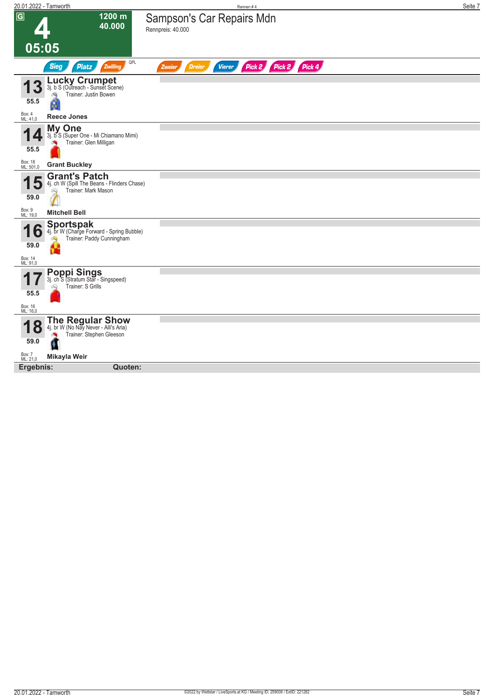| 20.01.2022 - Tamworth                      |                                                                                                 | Rennen#4                                                            | Seite 7 |
|--------------------------------------------|-------------------------------------------------------------------------------------------------|---------------------------------------------------------------------|---------|
| $\overline{G}$                             | 1200 m<br>40.000                                                                                | Sampson's Car Repairs Mdn<br>Rennpreis: 40.000                      |         |
| 05:05                                      |                                                                                                 |                                                                     |         |
|                                            | QPL<br><b>Sieg</b><br><b>Platz</b><br>Zwilling                                                  | Pick 2<br>Pick 2 Pick 4<br><b>Vierer</b><br><b>Dreier</b><br>Zweier |         |
| 55.5                                       | <b>Lucky Crumpet</b><br>3j. b S (Outreach - Sunset Scene)<br>Trainer: Justin Bowen<br>dia.<br>Ø |                                                                     |         |
| Box: 4<br>ML: 41,0                         | <b>Reece Jones</b>                                                                              |                                                                     |         |
| И<br>$\mathbf{Z}$<br>55.5                  | <b>My One</b><br>3j. b S (Super One - Mi Chiamano Mimi)<br>Trainer: Glen Milligan               |                                                                     |         |
| Box: 18<br>ML: 501,0                       | <b>Grant Buckley</b>                                                                            |                                                                     |         |
| J<br>59.0                                  | <b>Grant's Patch</b><br>4j. ch W (Spill The Beans - Flinders Chase)<br>Trainer: Mark Mason      |                                                                     |         |
| Box: 9<br>ML: 19,0                         | <b>Mitchell Bell</b>                                                                            |                                                                     |         |
| И<br>6<br>L<br>59.0<br>Box: 14<br>ML: 91,0 | <b>Sportspak</b><br>4j. br W (Charge Forward - Spring Bubble)<br>Trainer: Paddy Cunningham      |                                                                     |         |
| 55.5                                       | <b>Poppi Sings</b><br>3j. ch S (Stratum Star - Singspeed)<br>Trainer: S Grills                  |                                                                     |         |
| Box: 16<br>ML: 16,0                        |                                                                                                 |                                                                     |         |
| $\mathbf O$<br>59.0                        | <b>The Regular Show</b><br>4j. br W (No Nay Never - Alli's Aria)<br>Trainer: Stephen Gleeson    |                                                                     |         |
| Box: 7<br>ML: 21,0                         | Mikayla Weir                                                                                    |                                                                     |         |
| Ergebnis:                                  | Quoten:                                                                                         |                                                                     |         |
|                                            |                                                                                                 |                                                                     |         |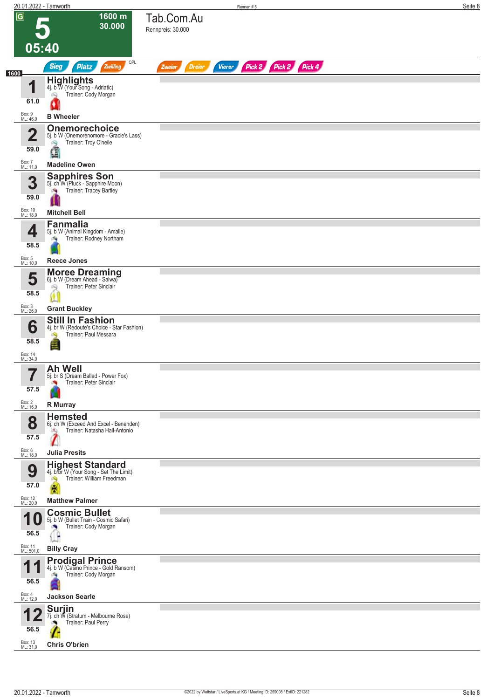| 20.01.2022 - Tamworth      |                                                                                                 |                                 | Rennen#5      |                      | Seite 8 |
|----------------------------|-------------------------------------------------------------------------------------------------|---------------------------------|---------------|----------------------|---------|
| $\overline{G}$             | 1600 m<br>30.000                                                                                | Tab.Com.Au<br>Rennpreis: 30.000 |               |                      |         |
| 05:40                      |                                                                                                 |                                 |               |                      |         |
| 1600                       | QPL<br><b>Sieg</b><br><b>Platz</b><br>Zwilling                                                  | <b>Dreier</b><br>Zweier         | <b>Vierer</b> | Pick 2 Pick 2 Pick 4 |         |
| $\blacksquare$             | Highlights 4j. b W (Your Song - Adriatic)                                                       |                                 |               |                      |         |
| 61.0                       | Trainer: Cody Morgan<br>6Q                                                                      |                                 |               |                      |         |
| Box: 9<br>ML: 46,0         | <b>B</b> Wheeler                                                                                |                                 |               |                      |         |
| $\overline{\mathbf{2}}$    | <b>Onemorechoice</b><br>5j. b W (Onemorenomore - Gracie's Lass)<br>Trainer: Troy O'neile<br>阎   |                                 |               |                      |         |
| 59.0<br>Box: 7<br>ML: 11,0 | đ<br><b>Madeline Owen</b>                                                                       |                                 |               |                      |         |
| 3                          | <b>Sapphires Son</b><br>5j. ch W (Pluck - Sapphire Moon)                                        |                                 |               |                      |         |
| 59.0                       | Trainer: Tracey Bartley<br>$\sigma$                                                             |                                 |               |                      |         |
| Box: 10<br>ML: 18,0        | <b>Mitchell Bell</b>                                                                            |                                 |               |                      |         |
| 4<br>58.5                  | <b>Fanmalia</b><br>5j. b W (Animal Kingdom - Amalie)<br>Trainer: Rodney Northam                 |                                 |               |                      |         |
| Box: 5<br>ML: 10,0         | <b>Reece Jones</b>                                                                              |                                 |               |                      |         |
| 5                          | <b>Moree Dreaming</b><br>6j. b W (Dream Ahead - Salwa)<br>Trainer: Peter Sinclair<br>Q          |                                 |               |                      |         |
| 58.5                       |                                                                                                 |                                 |               |                      |         |
| Box: 3<br>ML: 26,0         | <b>Grant Buckley</b>                                                                            |                                 |               |                      |         |
| 6<br>58.5                  | <b>Still In Fashion</b><br>4j. br W (Redoute's Choice - Star Fashion)<br>Trainer: Paul Messara  |                                 |               |                      |         |
| Box: 14<br>ML: 34,0        |                                                                                                 |                                 |               |                      |         |
|                            | <b>Ah Well</b><br>5j. br S (Dream Ballad - Power Fox)                                           |                                 |               |                      |         |
| 57.5                       | Trainer: Peter Sinclair                                                                         |                                 |               |                      |         |
| Box: 2<br>ML: 16,0         | R Murray                                                                                        |                                 |               |                      |         |
| 8                          | <b>Hemsted</b><br>6j. ch W (Exceed And Excel - Benenden)<br>Trainer: Natasha Hall-Antonio<br>оŊ |                                 |               |                      |         |
| 57.5<br>Box: 6             | <b>Julia Presits</b>                                                                            |                                 |               |                      |         |
| ML: 18,0                   | <b>Highest Standard</b>                                                                         |                                 |               |                      |         |
| 9<br>57.0                  | 4j. b/br W (Your Song - Set The Limit)<br>Trainer: William Freedman<br>保                        |                                 |               |                      |         |
| Box: 12<br>ML: 20,0        | <b>Matthew Palmer</b>                                                                           |                                 |               |                      |         |
| 1<br>U                     | <b>Cosmic Bullet</b><br>5j. b W (Bullet Train - Cosmic Safari)<br>Trainer: Cody Morgan          |                                 |               |                      |         |
| 56.5                       | g                                                                                               |                                 |               |                      |         |
| Box: 11<br>ML: 501,0       | <b>Billy Cray</b>                                                                               |                                 |               |                      |         |
| И<br>56.5                  | <b>Prodigal Prince</b><br>4j. b W (Casino Prince - Gold Ransom)<br>Trainer: Cody Morgan         |                                 |               |                      |         |
| Box: 4<br>ML: 12,0         | <b>Jackson Searle</b>                                                                           |                                 |               |                      |         |
| 56.5                       | <b>Surjin</b><br>7j. ch W (Stratum - Melbourne Rose)<br>Trainer: Paul Perry                     |                                 |               |                      |         |
| Box: 13<br>ML: 31,0        | <b>Chris O'brien</b>                                                                            |                                 |               |                      |         |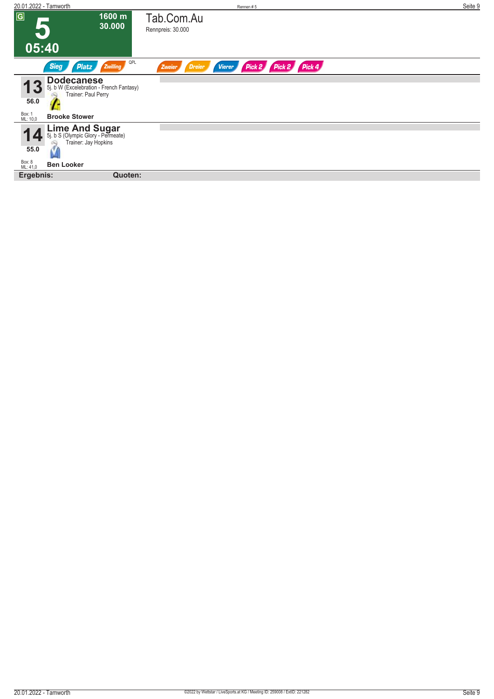| 20.01.2022 - Tamworth                                                                            | Rennen#5                                                         | Seite 9 |
|--------------------------------------------------------------------------------------------------|------------------------------------------------------------------|---------|
| $\overline{G}$<br>1600 m<br>30.000                                                               | Tab.Com.Au<br>Rennpreis: 30.000                                  |         |
| 05:40                                                                                            |                                                                  |         |
| QPL<br><b>Sieg</b><br>Zwilling<br><b>Platz</b>                                                   | Pick 2 Pick 2 Pick 4<br>Zweier<br><b>Dreier</b><br><b>Vierer</b> |         |
| <b>Dodecanese</b><br>5j. b W (Excelebration - French Fantasy)<br>Trainer: Paul Perry<br>56.0     |                                                                  |         |
| Box: 1<br>ML: 10,0<br><b>Brooke Stower</b>                                                       |                                                                  |         |
| <b>Lime And Sugar</b><br>5j. b S (Olympic Glory - Permeate)<br>S<br>Trainer: Jay Hopkins<br>55.0 |                                                                  |         |
|                                                                                                  |                                                                  |         |
| Box: 8<br>ML: 41,0<br><b>Ben Looker</b>                                                          |                                                                  |         |
| Ergebnis:<br>Quoten:                                                                             |                                                                  |         |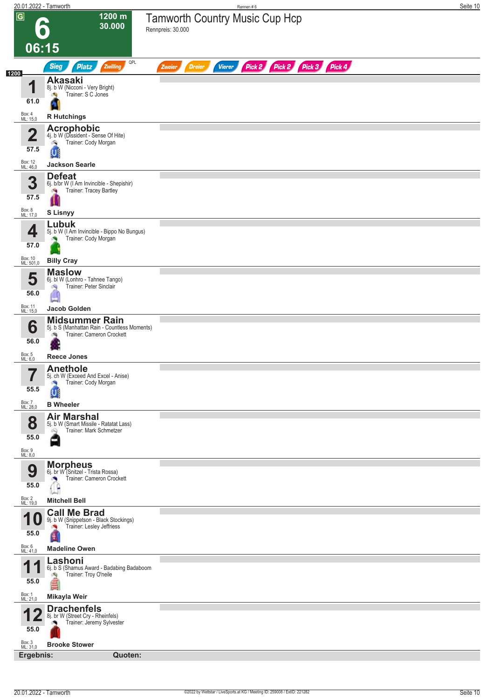|                             | 20.01.2022 - Tamworth                                                                              | Rennen#6                                                                | Seite 10 |
|-----------------------------|----------------------------------------------------------------------------------------------------|-------------------------------------------------------------------------|----------|
| $\overline{G}$              | 1200 m<br>6<br>30.000                                                                              | Tamworth Country Music Cup Hcp<br>Rennpreis: 30.000                     |          |
| 06:15                       |                                                                                                    |                                                                         |          |
| 1200                        | QPL<br>Zwilling<br><b>Sieg</b><br><b>Platz</b>                                                     | Pick 2 Pick 2 Pick 3 Pick 4<br><b>Dreier</b><br><b>Vierer</b><br>Zweier |          |
| и                           | <b>Akasaki</b><br>8j. b W (Nicconi - Very Bright)                                                  |                                                                         |          |
| 61.0                        | Trainer: S C Jones<br>- Su                                                                         |                                                                         |          |
| Box: 4<br>ML: 15,0          | <b>R</b> Hutchings                                                                                 |                                                                         |          |
| $\overline{\mathbf{2}}$     | <b>Acrophobic</b><br>4j. b W (Dissident - Sense Of Hite)                                           |                                                                         |          |
| 57.5                        | Trainer: Cody Morgan<br>c.<br>U                                                                    |                                                                         |          |
| Box: 12<br>ML: 46,0         | <b>Jackson Searle</b>                                                                              |                                                                         |          |
| 3<br>57.5                   | <b>Defeat</b><br>6j. b/br W (I Am Invincible - Shepishir)<br>Trainer: Tracey Bartley               |                                                                         |          |
| Box: 8<br>ML: 17,0          | <b>S Lisnyy</b>                                                                                    |                                                                         |          |
| 4<br>57.0<br>Box: 10        | Lubuk<br>5j. b W (I Am Invincible - Bippo No Bungus)<br>Trainer: Cody Morgan                       |                                                                         |          |
| ML: 501,0                   | <b>Billy Cray</b><br><b>Maslow</b>                                                                 |                                                                         |          |
| 5<br>56.0                   | 6j. bl W (Lonhro - Tahnee Tango)<br>Trainer: Peter Sinclair<br>淘                                   |                                                                         |          |
| Box: 11<br>ML: 15,0         | Jacob Golden                                                                                       |                                                                         |          |
| 6<br>56.0                   | <b>Midsummer Rain</b><br>5j. b S (Manhattan Rain - Countless Moments)<br>Trainer: Cameron Crockett |                                                                         |          |
| Box: 5<br>ML: 6,0           | <b>Reece Jones</b><br><b>Anethole</b>                                                              |                                                                         |          |
| 7<br>$\blacksquare$<br>55.5 | 5j. ch W (Exceed And Excel - Anise)<br>Trainer: Cody Morgan                                        |                                                                         |          |
| Box: 7<br>ML: 28,0          | <b>B</b> Wheeler                                                                                   |                                                                         |          |
| 8<br>55.0<br>Box: 9         | <b>Air Marshal</b><br>5j. b W (Smart Missile - Ratatat Lass)<br>Trainer: Mark Schmetzer            |                                                                         |          |
| ML: 8,0                     | <b>Morpheus</b>                                                                                    |                                                                         |          |
| 9<br>55.0                   | 6j. br W (Snitzel - Trista Rossa)<br>Trainer: Cameron Crockett                                     |                                                                         |          |
| Box: 2<br>ML: 19,0          | <b>Mitchell Bell</b>                                                                               |                                                                         |          |
| 1 U<br>55.0                 | <b>Call Me Brad</b><br>9j. b W (Snippetson - Black Stockings)<br>Trainer: Lesley Jeffriess         |                                                                         |          |
| Box: 6<br>ML: 41,0          | H<br><b>Madeline Owen</b>                                                                          |                                                                         |          |
| 55.0                        | Lashoni<br>6j. b S (Shamus Award - Badabing Badaboom<br>Trainer: Troy O'neile                      |                                                                         |          |
| Box: 1<br>ML: 21,0          | Mikayla Weir                                                                                       |                                                                         |          |
| 55.0                        | <b>Drachenfels</b><br>8j. br W (Street Cry - Rheinfels)<br>Trainer: Jeremy Sylvester               |                                                                         |          |
|                             |                                                                                                    |                                                                         |          |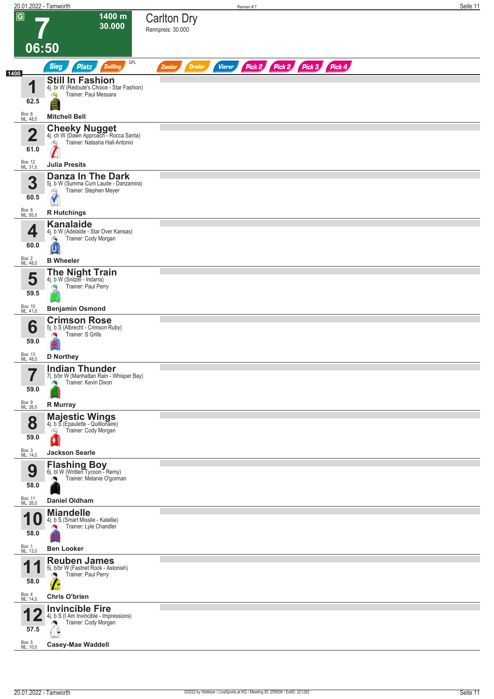|                |                             | 20.01.2022 - Tamworth                                                                                  |                                          | Rennen #7                   | Seite 11 |
|----------------|-----------------------------|--------------------------------------------------------------------------------------------------------|------------------------------------------|-----------------------------|----------|
| $\overline{G}$ | 06:50                       | 1400 m<br>30.000                                                                                       | <b>Carlton Dry</b><br>Rennpreis: 30.000  |                             |          |
|                |                             | QPL                                                                                                    |                                          |                             |          |
| 1400           |                             | <b>Sieg</b><br><b>Platz</b><br>Zwilling                                                                | <b>Dreier</b><br><b>Vierer</b><br>Zweier | Pick 2 Pick 2 Pick 3 Pick 4 |          |
|                | И<br>62.5                   | <b>Still In Fashion</b><br>4j. br W (Redoute's Choice - Star Fashion)<br>Trainer: Paul Messara         |                                          |                             |          |
|                | Box: 6<br>ML: 48,0          | <b>Mitchell Bell</b>                                                                                   |                                          |                             |          |
|                | $\mathbf 2$                 | <b>Cheeky Nugget</b><br>4j. ch W (Dawn Approach - Rocca Santa)<br>Trainer: Natasha Hall-Antonio<br>dQ. |                                          |                             |          |
|                | 61.0<br>Box: 12<br>ML: 31,0 | <b>Julia Presits</b>                                                                                   |                                          |                             |          |
|                | 3<br>60.5                   | Danza In The Dark<br>5j. b W (Summa Cum Laude - Danzamira)<br>Trainer: Stephen Meyer<br>69             |                                          |                             |          |
|                | Box: 8<br>ML: 95,0          | <b>R</b> Hutchings                                                                                     |                                          |                             |          |
|                | 4<br>60.0                   | <b>Kanalaide</b><br>4j. b W (Adelaide - Star Over Kansas)<br>Trainer: Cody Morgan<br>o.                |                                          |                             |          |
|                | Box: 2                      | U<br><b>B</b> Wheeler                                                                                  |                                          |                             |          |
|                | ML: 48,0<br>5<br>59.5       | <b>The Night Train</b><br>4j. b W (Snitzel - Indarra)<br>Trainer: Paul Perry                           |                                          |                             |          |
|                | Box: 10<br>ML: 41,0         | <b>Benjamin Osmond</b>                                                                                 |                                          |                             |          |
|                |                             | <b>Crimson Rose</b><br>5j. b S (Albrecht - Crimson Ruby)                                               |                                          |                             |          |
|                | 6<br>59.0                   | Trainer: S Grills                                                                                      |                                          |                             |          |
|                | Box: 13<br>ML: 48,0         | <b>D</b> Northey                                                                                       |                                          |                             |          |
|                | 7<br>$\blacksquare$<br>59.0 | <b>Indian Thunder</b><br>7j. b/br W (Manhattan Rain - Whisper Bay)<br>Trainer: Kevin Dixon             |                                          |                             |          |
|                | Box: 9<br>ML: 26,0          | R Murray                                                                                               |                                          |                             |          |
|                | 8<br>59.0                   | <b>Majestic Wings</b><br>4j. b S (Epaulette - Quillionaire)<br>Trainer: Cody Morgan<br>Q               |                                          |                             |          |
|                | Box: 3<br>ML: 14,0          | <b>Jackson Searle</b>                                                                                  |                                          |                             |          |
|                | 9<br>58.0                   | Flashing Boy<br>6j. bl W (Written Tycoon - Remy)<br>Trainer: Melanie O'gorman                          |                                          |                             |          |
|                | Box: 11<br>ML: 26,0         | <b>Daniel Oldham</b>                                                                                   |                                          |                             |          |
|                | 58.0                        | <b>Miandelle</b><br>4j. b S (Smart Missile - Katellie)<br>Trainer: Lyle Chandler                       |                                          |                             |          |
|                | Box: 1<br>ML: 13,0          | <b>Ben Looker</b>                                                                                      |                                          |                             |          |
|                | И                           | <b>Reuben James</b>                                                                                    |                                          |                             |          |
|                | 58.0                        | 5j. b/br W (Fastnet Rock - Astonish)<br>Trainer: Paul Perry                                            |                                          |                             |          |
|                | Box: 4<br>ML: 14,0          | <b>Chris O'brien</b>                                                                                   |                                          |                             |          |
|                | 57.5                        | <b>Invincible Fire</b><br>4j. b S (I Am Invincible - Impressions)<br>Trainer: Cody Morgan              |                                          |                             |          |
|                | Box: 5<br>ML: 10,0          | <b>Casey-Mae Waddell</b>                                                                               |                                          |                             |          |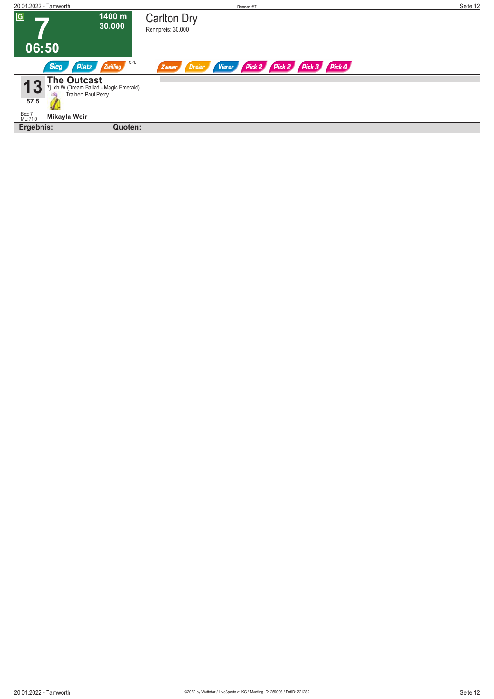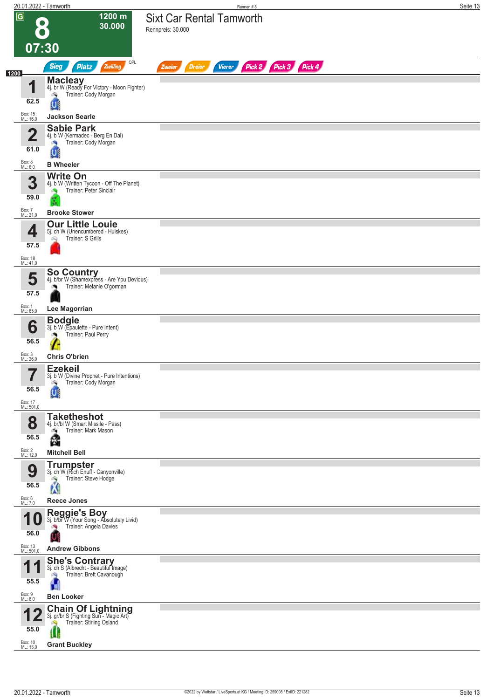| 20.01.2022 - Tamworth       |                                                                                                       | Rennen #8                                                        | Seite 13 |
|-----------------------------|-------------------------------------------------------------------------------------------------------|------------------------------------------------------------------|----------|
| $\overline{G}$<br>$\bullet$ | $1200 \text{ m}$<br>30.000                                                                            | <b>Sixt Car Rental Tamworth</b><br>Rennpreis: 30.000             |          |
| 07:30                       | QPL                                                                                                   |                                                                  |          |
| 1200                        | <b>Sieg</b><br><b>Platz</b><br>Zwilling                                                               | Pick 2 Pick 3 Pick 4<br><b>Dreier</b><br><b>Vierer</b><br>Zweier |          |
| $\blacksquare$              | Macleay<br>4j. br W (Ready For Victory - Moon Fighter)<br>Trainer: Cody Morgan<br>o.                  |                                                                  |          |
| 62.5                        |                                                                                                       |                                                                  |          |
| Box: 15<br>ML: 16,0         | <b>Jackson Searle</b>                                                                                 |                                                                  |          |
| $\overline{\mathbf{2}}$     | <b>Sabie Park</b><br>4j. b W (Kermadec - Berg En Dal)<br>Trainer: Cody Morgan<br><b>PR</b>            |                                                                  |          |
| 61.0<br>Box: 8<br>ML: 6,0   | $\mathbf{U}$<br><b>B</b> Wheeler                                                                      |                                                                  |          |
|                             | <b>Write On</b>                                                                                       |                                                                  |          |
| 3<br>59.0                   | 4j. b W (Written Tycoon - Off The Planet)<br>Trainer: Peter Sinclair                                  |                                                                  |          |
| Box: 7<br>ML: 21,0          | <b>Brooke Stower</b>                                                                                  |                                                                  |          |
| 4                           | <b>Our Little Louie</b><br>5j. ch W (Unencumbered - Huiskes)<br>Trainer: S Grills<br>öQ               |                                                                  |          |
| 57.5<br>Box: 18             |                                                                                                       |                                                                  |          |
| ML: 41,0                    | <b>So Country</b>                                                                                     |                                                                  |          |
| 5<br>57.5                   | 4j. b/br W (Shamexpress - Are You Devious)<br>Trainer: Melanie O'gorman<br>ு                          |                                                                  |          |
| Box: 1<br>ML: 65,0          | Lee Magorrian                                                                                         |                                                                  |          |
| 6                           | <b>Bodgie</b><br>3j. b W (Epaulette - Pure Intent)                                                    |                                                                  |          |
| 56.5                        | Trainer: Paul Perry                                                                                   |                                                                  |          |
| Box: 3<br>ML: 26,0          | <b>Chris O'brien</b>                                                                                  |                                                                  |          |
| 7<br>56.5                   | <b>Ezekeil</b><br>3j. b W (Divine Prophet - Pure Intentions)<br>Trainer: Cody Morgan<br>c.            |                                                                  |          |
| Box: 17<br>ML: 501,0        |                                                                                                       |                                                                  |          |
| 8                           | <b>Taketheshot</b><br>4j. br/bl W (Smart Missile - Pass)<br>Trainer: Mark Mason<br>69)                |                                                                  |          |
| 56.5                        | q                                                                                                     |                                                                  |          |
| Box: 2<br>ML: 12,0          | <b>Mitchell Bell</b><br><b>Trumpster</b>                                                              |                                                                  |          |
| 9<br>56.5                   | 3j. ch W (Rich Enuff - Canyonville)<br>Trainer: Steve Hodge<br>À                                      |                                                                  |          |
| Box: 6<br>ML: 7,0           | <b>Reece Jones</b>                                                                                    |                                                                  |          |
| 10                          | Reggie's Boy 3j. b/br W (Your Song - Absolutely Livid)                                                |                                                                  |          |
| 56.0                        | Trainer: Angela Davies                                                                                |                                                                  |          |
| Box: 13<br>ML: 501,0        | <b>Andrew Gibbons</b>                                                                                 |                                                                  |          |
| И                           | <b>She's Contrary</b><br>3j. ch S (Albrecht - Beautiful Image)                                        |                                                                  |          |
| 55.5                        | Trainer: Brett Cavanough<br>肉<br>6R<br>п                                                              |                                                                  |          |
| Box: 9<br>ML: 6,0           | <b>Ben Looker</b>                                                                                     |                                                                  |          |
| 55.0                        | <b>Chain Of Lightning</b><br>3j. gr/br S (Fighting Sun - Magic Art)<br>Trainer: Stirling Osland<br>Ú. |                                                                  |          |
| Box: 10<br>ML: 13,0         | <b>Grant Buckley</b>                                                                                  |                                                                  |          |